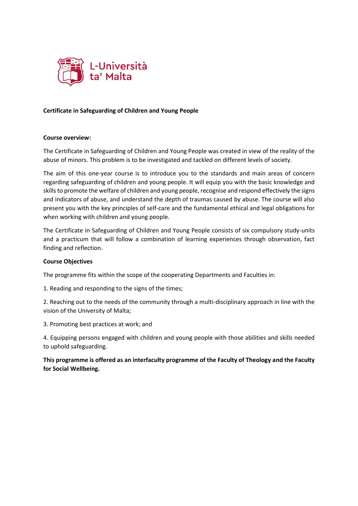

## **Certificate in Safeguarding of Children and Young People**

## **Course overview:**

The Certificate in Safeguarding of Children and Young People was created in view of the reality of the abuse of minors. This problem is to be investigated and tackled on different levels of society.

The aim of this one-year course is to introduce you to the standards and main areas of concern regarding safeguarding of children and young people. It will equip you with the basic knowledge and skills to promote the welfare of children and young people, recognise and respond effectively the signs and indicators of abuse, and understand the depth of traumas caused by abuse. The course will also present you with the key principles of self-care and the fundamental ethical and legal obligations for when working with children and young people.

The Certificate in Safeguarding of Children and Young People consists of six compulsory study-units and a practicum that will follow a combination of learning experiences through observation, fact finding and reflection.

## **Course Objectives**

The programme fits within the scope of the cooperating Departments and Faculties in:

1. Reading and responding to the signs of the times;

2. Reaching out to the needs of the community through a multi-disciplinary approach in line with the vision of the University of Malta;

3. Promoting best practices at work; and

4. Equipping persons engaged with children and young people with those abilities and skills needed to uphold safeguarding.

**This programme is offered as an interfaculty programme of the Faculty of Theology and the Faculty for Social Wellbeing.**